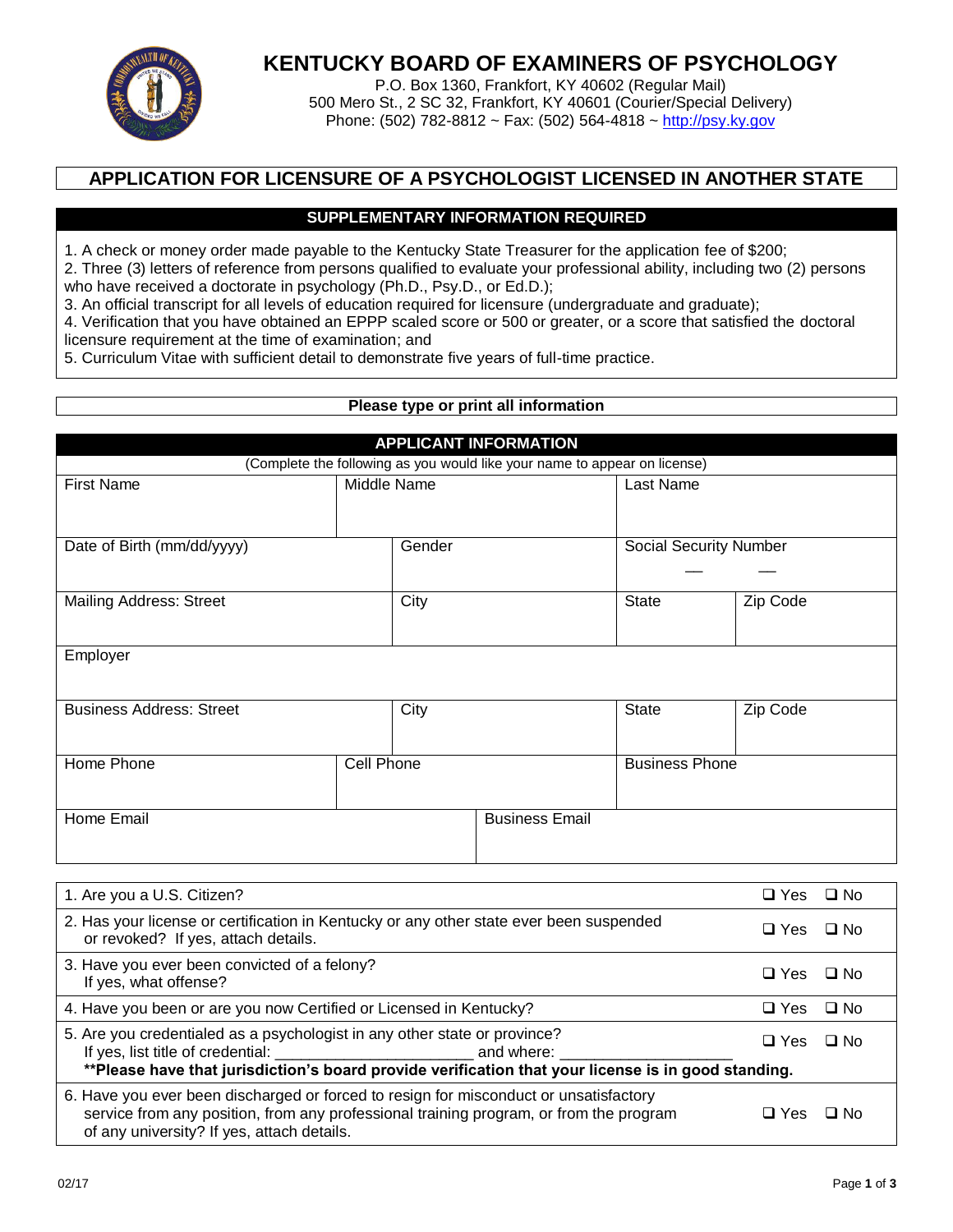

# **KENTUCKY BOARD OF EXAMINERS OF PSYCHOLOGY**

P.O. Box 1360, Frankfort, KY 40602 (Regular Mail) 500 Mero St., 2 SC 32, Frankfort, KY 40601 (Courier/Special Delivery) Phone: (502) 782-8812 ~ Fax: (502) 564-4818 ~ [http://psy.ky.gov](http://psy.ky.gov/)

## **APPLICATION FOR LICENSURE OF A PSYCHOLOGIST LICENSED IN ANOTHER STATE**

## **SUPPLEMENTARY INFORMATION REQUIRED**

1. A check or money order made payable to the Kentucky State Treasurer for the application fee of \$200;

2. Three (3) letters of reference from persons qualified to evaluate your professional ability, including two (2) persons who have received a doctorate in psychology (Ph.D., Psy.D., or Ed.D.);

3. An official transcript for all levels of education required for licensure (undergraduate and graduate);

4. Verification that you have obtained an EPPP scaled score or 500 or greater, or a score that satisfied the doctoral licensure requirement at the time of examination; and

5. Curriculum Vitae with sufficient detail to demonstrate five years of full-time practice.

## **Please type or print all information**

| <b>APPLICANT INFORMATION</b>                                              |             |      |                               |                       |          |
|---------------------------------------------------------------------------|-------------|------|-------------------------------|-----------------------|----------|
| (Complete the following as you would like your name to appear on license) |             |      |                               |                       |          |
| <b>First Name</b>                                                         | Middle Name |      |                               | Last Name             |          |
|                                                                           |             |      |                               |                       |          |
| Date of Birth (mm/dd/yyyy)                                                | Gender      |      | <b>Social Security Number</b> |                       |          |
|                                                                           |             |      |                               |                       |          |
| <b>Mailing Address: Street</b>                                            |             | City |                               | State                 | Zip Code |
| Employer                                                                  |             |      |                               |                       |          |
| <b>Business Address: Street</b>                                           |             | City |                               | <b>State</b>          | Zip Code |
| Home Phone                                                                | Cell Phone  |      |                               | <b>Business Phone</b> |          |
| Home Email                                                                |             |      | <b>Business Email</b>         |                       |          |

| 1. Are you a U.S. Citizen?                                                                                                                                                                                                    | $\Box$ Yes | □ No      |
|-------------------------------------------------------------------------------------------------------------------------------------------------------------------------------------------------------------------------------|------------|-----------|
| 2. Has your license or certification in Kentucky or any other state ever been suspended<br>or revoked? If yes, attach details.                                                                                                | $\Box$ Yes | ⊟ No      |
| 3. Have you ever been convicted of a felony?<br>If yes, what offense?                                                                                                                                                         | $\Box$ Yes | ⊟ No      |
| 4. Have you been or are you now Certified or Licensed in Kentucky?                                                                                                                                                            | $\Box$ Yes | $\Box$ No |
| 5. Are you credentialed as a psychologist in any other state or province?                                                                                                                                                     | $\Box$ Yes | ⊟ No      |
| **Please have that jurisdiction's board provide verification that your license is in good standing.                                                                                                                           |            |           |
| 6. Have you ever been discharged or forced to resign for misconduct or unsatisfactory<br>service from any position, from any professional training program, or from the program<br>of any university? If yes, attach details. | □ Yes      | ⊟ No      |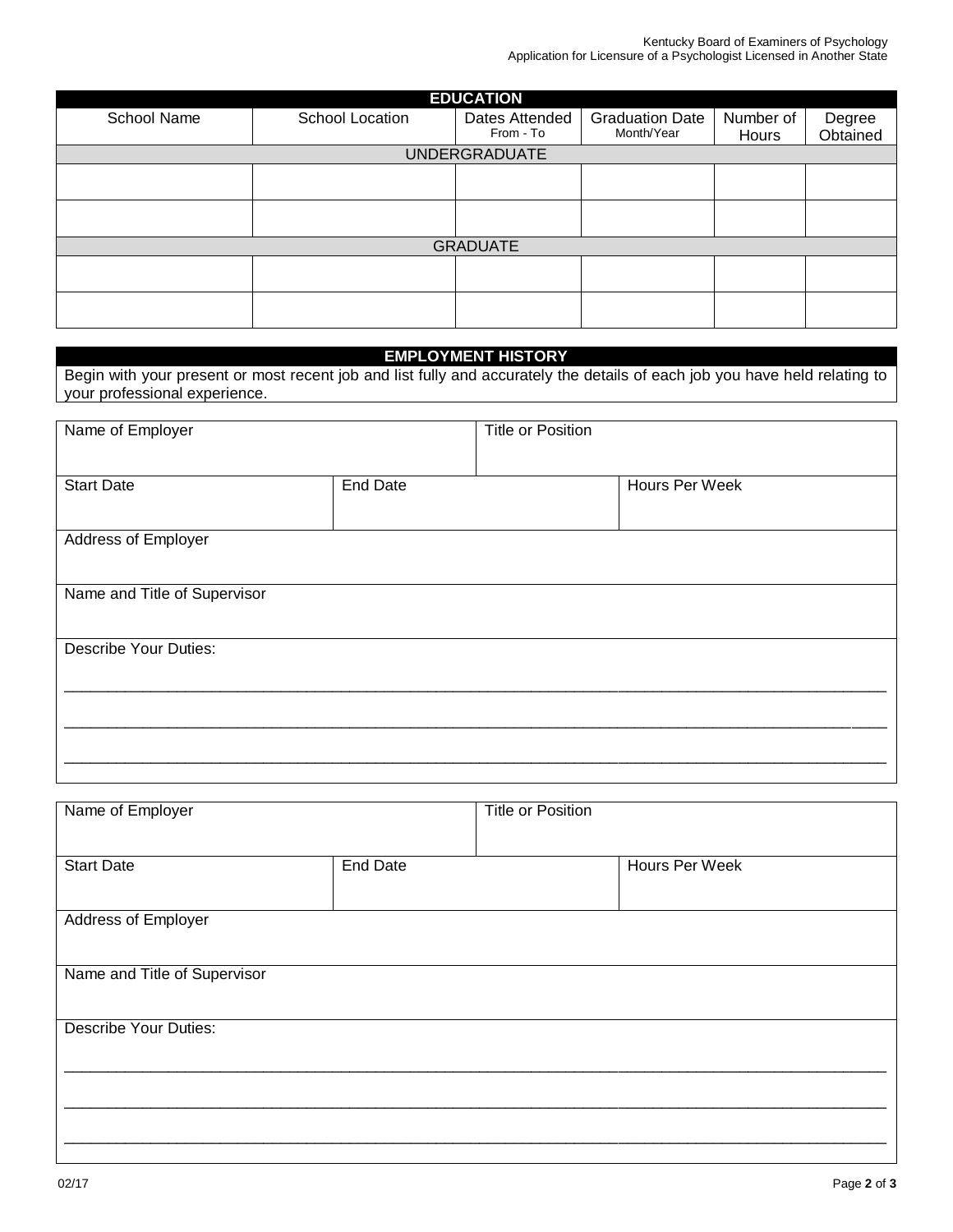| <b>EDUCATION</b> |                 |                             |                                      |                    |                    |  |  |  |
|------------------|-----------------|-----------------------------|--------------------------------------|--------------------|--------------------|--|--|--|
| School Name      | School Location | Dates Attended<br>From - To | <b>Graduation Date</b><br>Month/Year | Number of<br>Hours | Degree<br>Obtained |  |  |  |
|                  |                 | <b>UNDERGRADUATE</b>        |                                      |                    |                    |  |  |  |
|                  |                 |                             |                                      |                    |                    |  |  |  |
|                  |                 |                             |                                      |                    |                    |  |  |  |
|                  |                 |                             |                                      |                    |                    |  |  |  |
|                  |                 |                             |                                      |                    |                    |  |  |  |
| <b>GRADUATE</b>  |                 |                             |                                      |                    |                    |  |  |  |
|                  |                 |                             |                                      |                    |                    |  |  |  |
|                  |                 |                             |                                      |                    |                    |  |  |  |
|                  |                 |                             |                                      |                    |                    |  |  |  |
|                  |                 |                             |                                      |                    |                    |  |  |  |

#### **EMPLOYMENT HISTORY**

Begin with your present or most recent job and list fully and accurately the details of each job you have held relating to your professional experience.

| Name of Employer             |                 | <b>Title or Position</b> |                |
|------------------------------|-----------------|--------------------------|----------------|
|                              |                 |                          |                |
| <b>Start Date</b>            | <b>End Date</b> |                          | Hours Per Week |
|                              |                 |                          |                |
| Address of Employer          |                 |                          |                |
|                              |                 |                          |                |
| Name and Title of Supervisor |                 |                          |                |
|                              |                 |                          |                |
| <b>Describe Your Duties:</b> |                 |                          |                |
|                              |                 |                          |                |
|                              |                 |                          |                |
|                              |                 |                          |                |
|                              |                 |                          |                |

| <b>Title or Position</b> |                |
|--------------------------|----------------|
|                          |                |
|                          | Hours Per Week |
|                          |                |
|                          |                |
|                          |                |
|                          |                |
|                          |                |
|                          |                |
|                          |                |
|                          |                |
|                          |                |
|                          |                |
| <b>End Date</b>          |                |